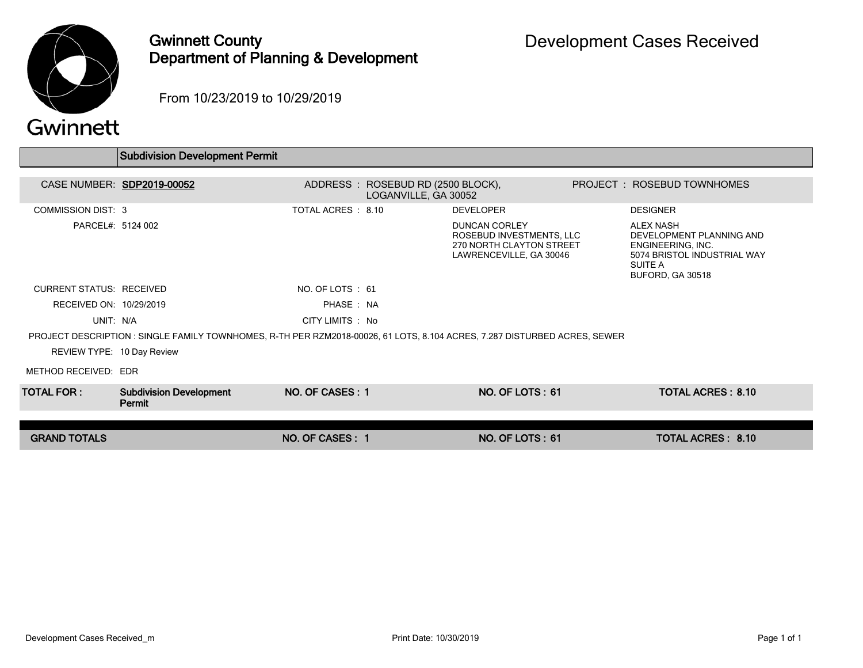

## Gwinnett County Department of Planning & Development

From 10/23/2019 to 10/29/2019

|                                                                                                                           | <b>Subdivision Development Permit</b>    |                                   |                      |                                                                                                         |  |                                                                                                                                 |  |  |  |
|---------------------------------------------------------------------------------------------------------------------------|------------------------------------------|-----------------------------------|----------------------|---------------------------------------------------------------------------------------------------------|--|---------------------------------------------------------------------------------------------------------------------------------|--|--|--|
|                                                                                                                           |                                          |                                   |                      |                                                                                                         |  |                                                                                                                                 |  |  |  |
|                                                                                                                           | CASE NUMBER: SDP2019-00052               | ADDRESS: ROSEBUD RD (2500 BLOCK), | LOGANVILLE, GA 30052 |                                                                                                         |  | PROJECT: ROSEBUD TOWNHOMES                                                                                                      |  |  |  |
| <b>COMMISSION DIST: 3</b>                                                                                                 |                                          | TOTAL ACRES : 8.10                |                      | <b>DEVELOPER</b>                                                                                        |  | <b>DESIGNER</b>                                                                                                                 |  |  |  |
| PARCEL#: 5124 002                                                                                                         |                                          |                                   |                      | <b>DUNCAN CORLEY</b><br>ROSEBUD INVESTMENTS, LLC<br>270 NORTH CLAYTON STREET<br>LAWRENCEVILLE, GA 30046 |  | <b>ALEX NASH</b><br>DEVELOPMENT PLANNING AND<br>ENGINEERING, INC.<br>5074 BRISTOL INDUSTRIAL WAY<br>SUITE A<br>BUFORD, GA 30518 |  |  |  |
| <b>CURRENT STATUS: RECEIVED</b>                                                                                           |                                          | NO. OF LOTS : 61                  |                      |                                                                                                         |  |                                                                                                                                 |  |  |  |
| RECEIVED ON: 10/29/2019                                                                                                   |                                          | PHASE: NA                         |                      |                                                                                                         |  |                                                                                                                                 |  |  |  |
| UNIT: N/A                                                                                                                 |                                          | CITY LIMITS : No                  |                      |                                                                                                         |  |                                                                                                                                 |  |  |  |
| PROJECT DESCRIPTION : SINGLE FAMILY TOWNHOMES, R-TH PER RZM2018-00026, 61 LOTS, 8.104 ACRES, 7.287 DISTURBED ACRES, SEWER |                                          |                                   |                      |                                                                                                         |  |                                                                                                                                 |  |  |  |
| REVIEW TYPE: 10 Day Review                                                                                                |                                          |                                   |                      |                                                                                                         |  |                                                                                                                                 |  |  |  |
| METHOD RECEIVED: EDR                                                                                                      |                                          |                                   |                      |                                                                                                         |  |                                                                                                                                 |  |  |  |
| <b>TOTAL FOR :</b>                                                                                                        | <b>Subdivision Development</b><br>Permit | NO. OF CASES: 1                   |                      | NO. OF LOTS: 61                                                                                         |  | <b>TOTAL ACRES: 8.10</b>                                                                                                        |  |  |  |
| <b>GRAND TOTALS</b>                                                                                                       |                                          | NO. OF CASES: 1                   |                      | <b>NO. OF LOTS: 61</b>                                                                                  |  | <b>TOTAL ACRES: 8.10</b>                                                                                                        |  |  |  |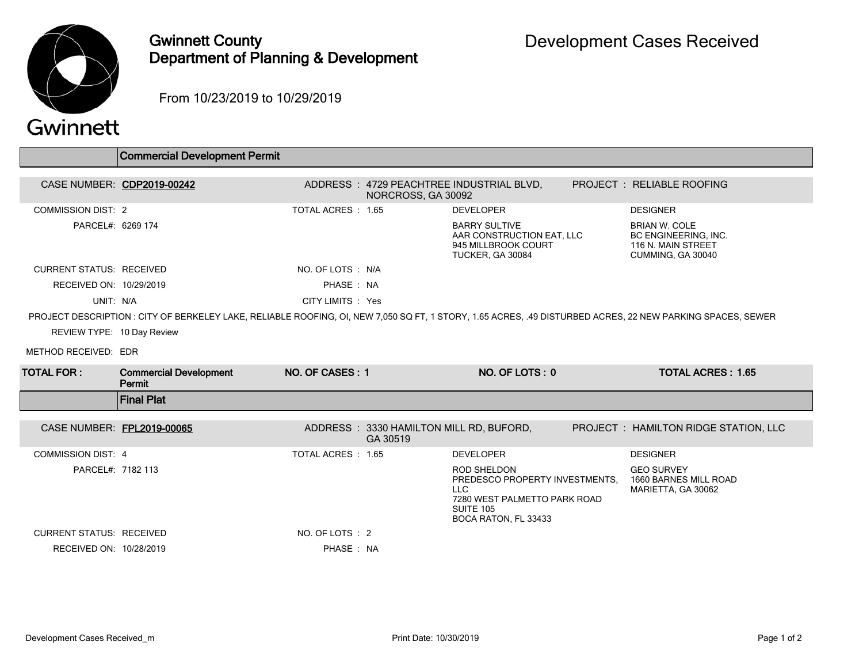

## Gwinnett County Department of Planning & Development

From 10/23/2019 to 10/29/2019

|                                                                                                                                                            | <b>Commercial Development Permit</b>    |                    |                                                     |                                                                                                                                                |  |                                                                                                |  |  |
|------------------------------------------------------------------------------------------------------------------------------------------------------------|-----------------------------------------|--------------------|-----------------------------------------------------|------------------------------------------------------------------------------------------------------------------------------------------------|--|------------------------------------------------------------------------------------------------|--|--|
|                                                                                                                                                            | CASE NUMBER: CDP2019-00242              |                    | NORCROSS, GA 30092                                  | ADDRESS : 4729 PEACHTREE INDUSTRIAL BLVD,                                                                                                      |  | PROJECT: RELIABLE ROOFING                                                                      |  |  |
| <b>COMMISSION DIST: 2</b>                                                                                                                                  |                                         | TOTAL ACRES : 1.65 |                                                     | <b>DEVELOPER</b>                                                                                                                               |  | <b>DESIGNER</b>                                                                                |  |  |
| PARCEL#: 6269 174                                                                                                                                          |                                         |                    |                                                     | <b>BARRY SULTIVE</b><br>AAR CONSTRUCTION EAT. LLC<br>945 MILLBROOK COURT<br>TUCKER, GA 30084                                                   |  | <b>BRIAN W. COLE</b><br><b>BC ENGINEERING. INC.</b><br>116 N. MAIN STREET<br>CUMMING, GA 30040 |  |  |
| <b>CURRENT STATUS: RECEIVED</b>                                                                                                                            |                                         | NO. OF LOTS : N/A  |                                                     |                                                                                                                                                |  |                                                                                                |  |  |
| RECEIVED ON: 10/29/2019                                                                                                                                    |                                         | PHASE: NA          |                                                     |                                                                                                                                                |  |                                                                                                |  |  |
| UNIT: N/A                                                                                                                                                  |                                         | CITY LIMITS : Yes  |                                                     |                                                                                                                                                |  |                                                                                                |  |  |
| PROJECT DESCRIPTION : CITY OF BERKELEY LAKE, RELIABLE ROOFING, OI, NEW 7,050 SQ FT, 1 STORY, 1.65 ACRES, .49 DISTURBED ACRES, 22 NEW PARKING SPACES, SEWER |                                         |                    |                                                     |                                                                                                                                                |  |                                                                                                |  |  |
| REVIEW TYPE: 10 Day Review                                                                                                                                 |                                         |                    |                                                     |                                                                                                                                                |  |                                                                                                |  |  |
| METHOD RECEIVED: EDR                                                                                                                                       |                                         |                    |                                                     |                                                                                                                                                |  |                                                                                                |  |  |
| <b>TOTAL FOR:</b>                                                                                                                                          | <b>Commercial Development</b><br>Permit | NO. OF CASES: 1    |                                                     | NO. OF LOTS: 0                                                                                                                                 |  | <b>TOTAL ACRES: 1.65</b>                                                                       |  |  |
|                                                                                                                                                            | <b>Final Plat</b>                       |                    |                                                     |                                                                                                                                                |  |                                                                                                |  |  |
| CASE NUMBER: FPL2019-00065                                                                                                                                 |                                         |                    | ADDRESS: 3330 HAMILTON MILL RD, BUFORD,<br>GA 30519 |                                                                                                                                                |  | PROJECT : HAMILTON RIDGE STATION, LLC                                                          |  |  |
| <b>COMMISSION DIST: 4</b>                                                                                                                                  |                                         | TOTAL ACRES: 1.65  |                                                     | <b>DEVELOPER</b>                                                                                                                               |  | <b>DESIGNER</b>                                                                                |  |  |
| PARCEL#: 7182 113                                                                                                                                          |                                         |                    |                                                     | <b>ROD SHELDON</b><br>PREDESCO PROPERTY INVESTMENTS.<br><b>LLC</b><br>7280 WEST PALMETTO PARK ROAD<br><b>SUITE 105</b><br>BOCA RATON, FL 33433 |  | <b>GEO SURVEY</b><br>1660 BARNES MILL ROAD<br>MARIETTA, GA 30062                               |  |  |
| <b>CURRENT STATUS: RECEIVED</b>                                                                                                                            |                                         | NO. OF LOTS : 2    |                                                     |                                                                                                                                                |  |                                                                                                |  |  |
|                                                                                                                                                            | RECEIVED ON: 10/28/2019                 | PHASE: NA          |                                                     |                                                                                                                                                |  |                                                                                                |  |  |